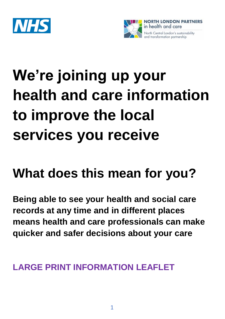



# **We're joining up your health and care information to improve the local services you receive**

# **What does this mean for you?**

**Being able to see your health and social care records at any time and in different places means health and care professionals can make quicker and safer decisions about your care**

#### **LARGE PRINT INFORMATION LEAFLET**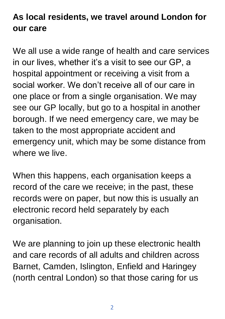# **As local residents, we travel around London for our care**

We all use a wide range of health and care services in our lives, whether it's a visit to see our GP, a hospital appointment or receiving a visit from a social worker. We don't receive all of our care in one place or from a single organisation. We may see our GP locally, but go to a hospital in another borough. If we need emergency care, we may be taken to the most appropriate accident and emergency unit, which may be some distance from where we live.

When this happens, each organisation keeps a record of the care we receive; in the past, these records were on paper, but now this is usually an electronic record held separately by each organisation.

We are planning to join up these electronic health and care records of all adults and children across Barnet, Camden, Islington, Enfield and Haringey (north central London) so that those caring for us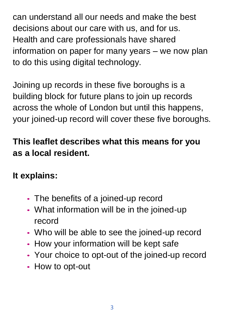can understand all our needs and make the best decisions about our care with us, and for us. Health and care professionals have shared information on paper for many years – we now plan to do this using digital technology.

Joining up records in these five boroughs is a building block for future plans to join up records across the whole of London but until this happens, your joined-up record will cover these five boroughs.

# **This leaflet describes what this means for you as a local resident.**

**It explains:**

- The benefits of a joined-up record
- What information will be in the joined-up record
- Who will be able to see the joined-up record
- How your information will be kept safe
- Your choice to opt-out of the joined-up record
- How to opt-out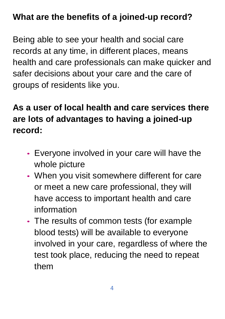#### **What are the benefits of a joined-up record?**

Being able to see your health and social care records at any time, in different places, means health and care professionals can make quicker and safer decisions about your care and the care of groups of residents like you.

# **As a user of local health and care services there are lots of advantages to having a joined-up record:**

- Everyone involved in your care will have the whole picture
- When you visit somewhere different for care or meet a new care professional, they will have access to important health and care information
- The results of common tests (for example blood tests) will be available to everyone involved in your care, regardless of where the test took place, reducing the need to repeat them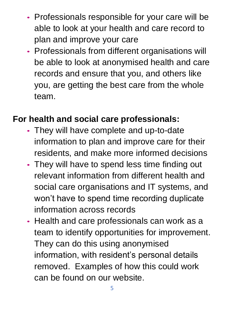- Professionals responsible for your care will be able to look at your health and care record to plan and improve your care
- Professionals from different organisations will be able to look at anonymised health and care records and ensure that you, and others like you, are getting the best care from the whole team.

#### **For health and social care professionals:**

- They will have complete and up-to-date information to plan and improve care for their residents, and make more informed decisions
- They will have to spend less time finding out relevant information from different health and social care organisations and IT systems, and won't have to spend time recording duplicate information across records
- Health and care professionals can work as a team to identify opportunities for improvement. They can do this using anonymised information, with resident's personal details removed. Examples of how this could work can be found on our website.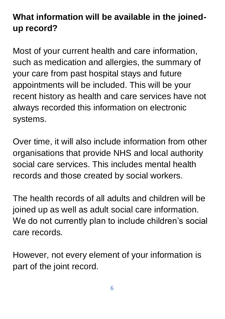# **What information will be available in the joinedup record?**

Most of your current health and care information, such as medication and allergies, the summary of your care from past hospital stays and future appointments will be included. This will be your recent history as health and care services have not always recorded this information on electronic systems.

Over time, it will also include information from other organisations that provide NHS and local authority social care services. This includes mental health records and those created by social workers.

The health records of all adults and children will be joined up as well as adult social care information. We do not currently plan to include children's social care records.

However, not every element of your information is part of the joint record.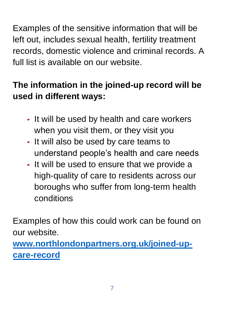Examples of the sensitive information that will be left out, includes sexual health, fertility treatment records, domestic violence and criminal records. A full list is available on our website.

# **The information in the joined-up record will be used in different ways:**

- It will be used by health and care workers when you visit them, or they visit you
- It will also be used by care teams to understand people's health and care needs
- It will be used to ensure that we provide a high-quality of care to residents across our boroughs who suffer from long-term health conditions

Examples of how this could work can be found on our website.

**[www.northlondonpartners.org.uk/joined-up](http://www.northlondonpartners.org.uk/joined-up-care-record)[care-record](http://www.northlondonpartners.org.uk/joined-up-care-record)**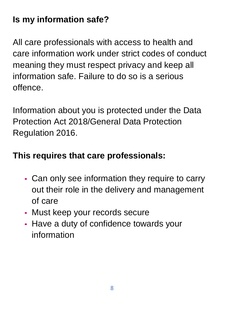# **Is my information safe?**

All care professionals with access to health and care information work under strict codes of conduct meaning they must respect privacy and keep all information safe. Failure to do so is a serious offence.

Information about you is protected under the Data Protection Act 2018/General Data Protection Regulation 2016.

#### **This requires that care professionals:**

- Can only see information they require to carry out their role in the delivery and management of care
- Must keep your records secure
- Have a duty of confidence towards your information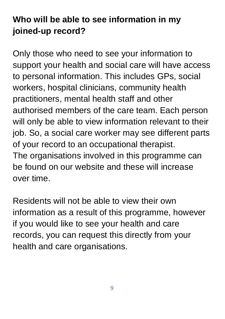# **Who will be able to see information in my joined-up record?**

Only those who need to see your information to support your health and social care will have access to personal information. This includes GPs, social workers, hospital clinicians, community health practitioners, mental health staff and other authorised members of the care team. Each person will only be able to view information relevant to their job. So, a social care worker may see different parts of your record to an occupational therapist. The organisations involved in this programme can be found on our website and these will increase over time.

Residents will not be able to view their own information as a result of this programme, however if you would like to see your health and care records, you can request this directly from your health and care organisations.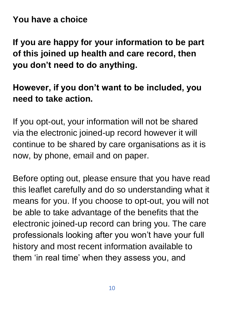**You have a choice**

**If you are happy for your information to be part of this joined up health and care record, then you don't need to do anything.**

#### **However, if you don't want to be included, you need to take action.**

If you opt-out, your information will not be shared via the electronic joined-up record however it will continue to be shared by care organisations as it is now, by phone, email and on paper.

Before opting out, please ensure that you have read this leaflet carefully and do so understanding what it means for you. If you choose to opt-out, you will not be able to take advantage of the benefits that the electronic joined-up record can bring you. The care professionals looking after you won't have your full history and most recent information available to them 'in real time' when they assess you, and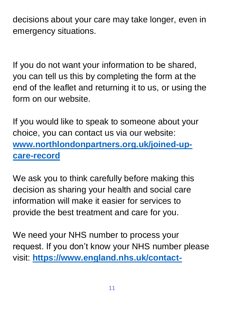decisions about your care may take longer, even in emergency situations.

If you do not want your information to be shared, you can tell us this by completing the form at the end of the leaflet and returning it to us, or using the form on our website.

If you would like to speak to someone about your choice, you can contact us via our website: **[www.northlondonpartners.org.uk/joined-up](http://www.northlondonpartners.org.uk/joined-up-care-record)[care-record](http://www.northlondonpartners.org.uk/joined-up-care-record)**

We ask you to think carefully before making this decision as sharing your health and social care information will make it easier for services to provide the best treatment and care for you.

We need your NHS number to process your request. If you don't know your NHS number please visit: **[https://www.england.nhs.uk/contact-](https://www.england.nhs.uk/contact-us/how-can-we-help/how-can-i-find-out-my-nhs-number/)**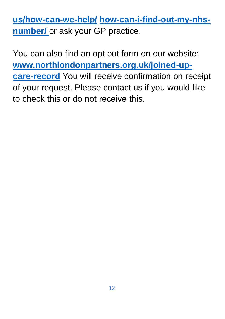**[us/how-can-we-help/](https://www.england.nhs.uk/contact-us/how-can-we-help/how-can-i-find-out-my-nhs-number/) [how-can-i-find-out-my-nhs](https://www.england.nhs.uk/contact-us/how-can-we-help/how-can-i-find-out-my-nhs-number/)[number/](https://www.england.nhs.uk/contact-us/how-can-we-help/how-can-i-find-out-my-nhs-number/)** or ask your GP practice.

You can also find an opt out form on our website: **[www.northlondonpartners.org.uk/joined-up](http://www.northlondonpartners.org.uk/joined-up-care-record)[care-record](http://www.northlondonpartners.org.uk/joined-up-care-record)** You will receive confirmation on receipt of your request. Please contact us if you would like to check this or do not receive this.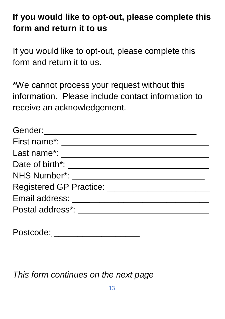# **If you would like to opt-out, please complete this form and return it to us**

If you would like to opt-out, please complete this form and return it to us.

\*We cannot process your request without this information. Please include contact information to receive an acknowledgement.

| Gender:                    |  |
|----------------------------|--|
| First name <sup>*</sup> :  |  |
| Last name*:                |  |
| Date of birth*: ____       |  |
| <b>NHS Number*:</b>        |  |
| Registered GP Practice: __ |  |
| Email address:             |  |
| Postal address*:           |  |
|                            |  |
|                            |  |

Postcode: \_\_\_\_\_\_\_\_\_\_\_\_\_\_\_\_\_\_

*This form continues on the next page*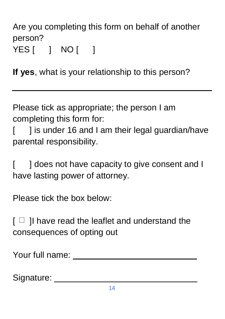#### Are you completing this form on behalf of another person? YES [ ] NO [ ]

**If yes**, what is your relationship to this person?

Please tick as appropriate; the person I am completing this form for:

[ ] is under 16 and I am their legal guardian/have parental responsibility.

[ ] does not have capacity to give consent and I have lasting power of attorney.

Please tick the box below:

 $\lceil$   $\Box$  I have read the leaflet and understand the consequences of opting out

Your full name:  $\blacksquare$ 

Signature: **Example 2018**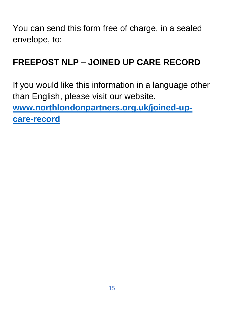You can send this form free of charge, in a sealed envelope, to:

#### **FREEPOST NLP – JOINED UP CARE RECORD**

If you would like this information in a language other than English, please visit our website. **[www.northlondonpartners.org.uk/joined-up](http://www.northlondonpartners.org.uk/joined-up-care-record)[care-record](http://www.northlondonpartners.org.uk/joined-up-care-record)**